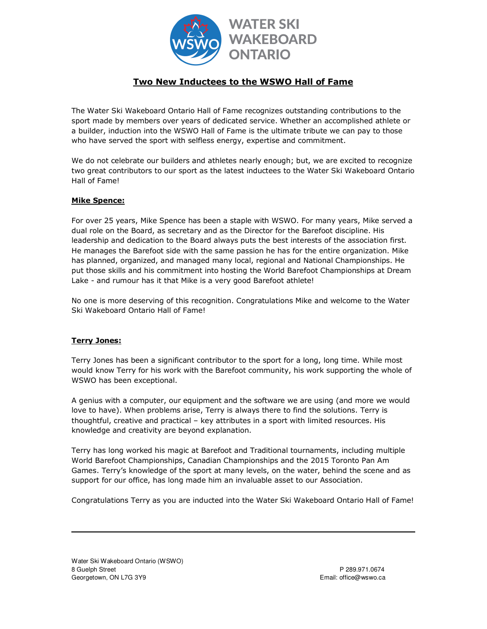

## **Two New Inductees to the WSWO Hall of Fame**

The Water Ski Wakeboard Ontario Hall of Fame recognizes outstanding contributions to the sport made by members over years of dedicated service. Whether an accomplished athlete or a builder, induction into the WSWO Hall of Fame is the ultimate tribute we can pay to those who have served the sport with selfless energy, expertise and commitment.

We do not celebrate our builders and athletes nearly enough; but, we are excited to recognize two great contributors to our sport as the latest inductees to the Water Ski Wakeboard Ontario Hall of Fame!

## **Mike Spence:**

For over 25 years, Mike Spence has been a staple with WSWO. For many years, Mike served a dual role on the Board, as secretary and as the Director for the Barefoot discipline. His leadership and dedication to the Board always puts the best interests of the association first. He manages the Barefoot side with the same passion he has for the entire organization. Mike has planned, organized, and managed many local, regional and National Championships. He put those skills and his commitment into hosting the World Barefoot Championships at Dream Lake - and rumour has it that Mike is a very good Barefoot athlete!

No one is more deserving of this recognition. Congratulations Mike and welcome to the Water Ski Wakeboard Ontario Hall of Fame!

## **Terry Jones:**

Terry Jones has been a significant contributor to the sport for a long, long time. While most would know Terry for his work with the Barefoot community, his work supporting the whole of WSWO has been exceptional.

A genius with a computer, our equipment and the software we are using (and more we would love to have). When problems arise, Terry is always there to find the solutions. Terry is thoughtful, creative and practical – key attributes in a sport with limited resources. His knowledge and creativity are beyond explanation.

Terry has long worked his magic at Barefoot and Traditional tournaments, including multiple World Barefoot Championships, Canadian Championships and the 2015 Toronto Pan Am Games. Terry's knowledge of the sport at many levels, on the water, behind the scene and as support for our office, has long made him an invaluable asset to our Association.

Congratulations Terry as you are inducted into the Water Ski Wakeboard Ontario Hall of Fame!